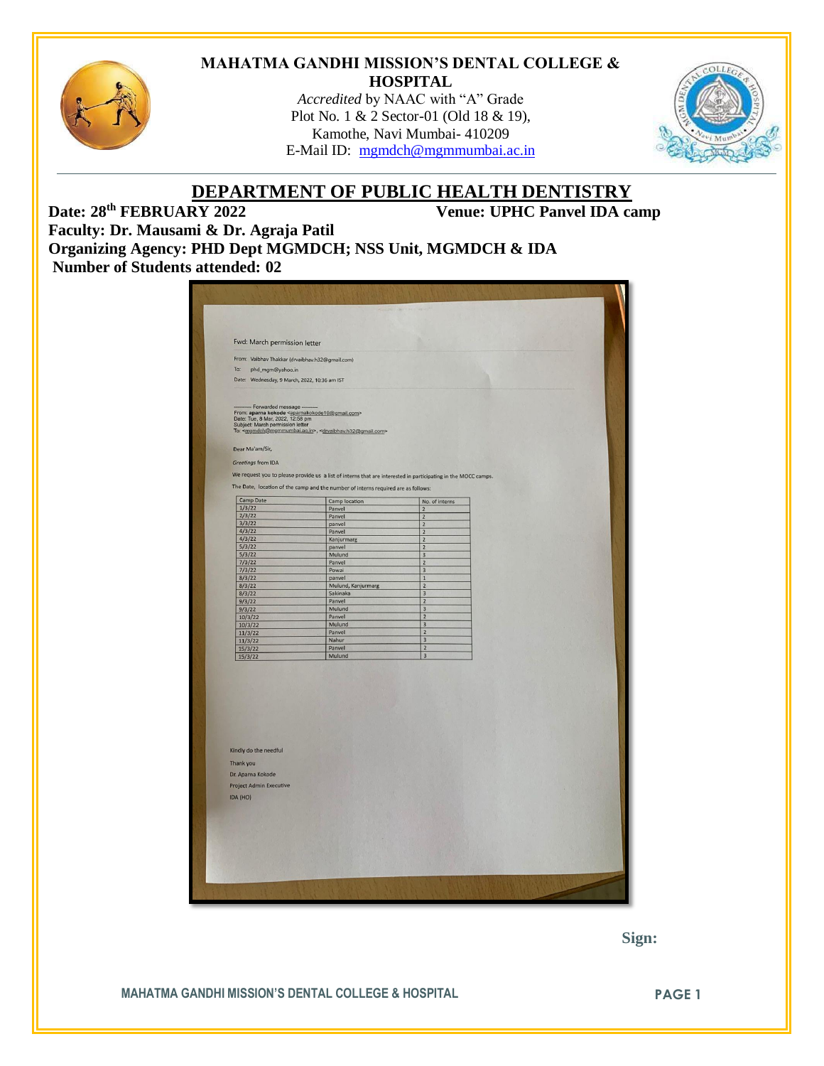

#### **MAHATMA GANDHI MISSION'S DENTAL COLLEGE & HOSPITAL**

*Accredited* by NAAC with "A" Grade Plot No. 1 & 2 Sector-01 (Old 18 & 19), Kamothe, Navi Mumbai- 410209 E-Mail ID: [mgmdch@mgmmumbai.ac.in](mailto:mgmdch@mgmmumbai.ac.in)



# **DEPARTMENT OF PUBLIC HEALTH DENTISTRY**<br>Venue: UPHC Panvel IDA ca

**Venue: UPHC Panvel IDA camp** 

**Faculty: Dr. Mausami & Dr. Agraja Patil Organizing Agency: PHD Dept MGMDCH; NSS Unit, MGMDCH & IDA Number of Students attended: 02**

| From: Vaibhav Thakkar (drvaibhav.h32@gmail.com)<br>To:<br>phd_mgm@yahoo.in<br>Date: Wednesday, 9 March, 2022, 10:36 am IST<br>----------- Forwarded message ---------<br>From: aparna kokode <aparnakokode10@gmail.com><br/>Date: Tue, 8 Mar, 2022, 12:58 pm<br/>Subject: March permission letter</aparnakokode10@gmail.com> |                                                                                                               |                                                    |  |
|------------------------------------------------------------------------------------------------------------------------------------------------------------------------------------------------------------------------------------------------------------------------------------------------------------------------------|---------------------------------------------------------------------------------------------------------------|----------------------------------------------------|--|
|                                                                                                                                                                                                                                                                                                                              |                                                                                                               |                                                    |  |
|                                                                                                                                                                                                                                                                                                                              |                                                                                                               |                                                    |  |
|                                                                                                                                                                                                                                                                                                                              |                                                                                                               |                                                    |  |
|                                                                                                                                                                                                                                                                                                                              | To: <mgmdch@mgmmumbai.ac.in>, <drvaibhav.h32@gmail.com></drvaibhav.h32@gmail.com></mgmdch@mgmmumbai.ac.in>    |                                                    |  |
| Dear Ma'am/Sir,                                                                                                                                                                                                                                                                                                              |                                                                                                               |                                                    |  |
|                                                                                                                                                                                                                                                                                                                              |                                                                                                               |                                                    |  |
| Greetings from IDA                                                                                                                                                                                                                                                                                                           |                                                                                                               |                                                    |  |
|                                                                                                                                                                                                                                                                                                                              | We request you to please provide us a list of interns that are interested in participating in the MOCC camps. |                                                    |  |
|                                                                                                                                                                                                                                                                                                                              | The Date, location of the camp and the number of interns required are as follows:                             |                                                    |  |
| Camp Date<br>1/3/22                                                                                                                                                                                                                                                                                                          | Camp location                                                                                                 | No. of interns                                     |  |
| 2/3/22                                                                                                                                                                                                                                                                                                                       | Panvel<br>Panvel                                                                                              | 2<br>$\overline{c}$                                |  |
| 3/3/22                                                                                                                                                                                                                                                                                                                       | panvel                                                                                                        | $\overline{2}$                                     |  |
| 4/3/22                                                                                                                                                                                                                                                                                                                       | Panvel                                                                                                        | $\overline{\mathbf{2}}$                            |  |
| 4/3/22<br>5/3/22                                                                                                                                                                                                                                                                                                             | Kanjurmarg<br>panvel                                                                                          | $\overline{\mathbf{z}}$<br>$\overline{\mathbf{2}}$ |  |
| 5/3/22                                                                                                                                                                                                                                                                                                                       | Mulund                                                                                                        | 3                                                  |  |
| 7/3/22                                                                                                                                                                                                                                                                                                                       | Panvel                                                                                                        | $\overline{\mathbf{c}}$                            |  |
| 7/3/22                                                                                                                                                                                                                                                                                                                       | Powai                                                                                                         | 3                                                  |  |
| 8/3/22<br>8/3/22                                                                                                                                                                                                                                                                                                             | panvel<br>Mulund, Kanjurmarg                                                                                  | $\mathbf 1$<br>$\overline{2}$                      |  |
| 8/3/22                                                                                                                                                                                                                                                                                                                       | Sakinaka                                                                                                      | 3                                                  |  |
| 9/3/22                                                                                                                                                                                                                                                                                                                       | Panvel                                                                                                        | $\overline{2}$                                     |  |
| 9/3/22                                                                                                                                                                                                                                                                                                                       | Mulund                                                                                                        | $\overline{3}$                                     |  |
| 10/3/22                                                                                                                                                                                                                                                                                                                      | Panvel                                                                                                        | $\overline{2}$                                     |  |
| 10/3/22<br>11/3/22                                                                                                                                                                                                                                                                                                           | Mulund<br>Panvel                                                                                              | $\overline{3}$<br>$\overline{2}$                   |  |
| 11/3/22                                                                                                                                                                                                                                                                                                                      | Nahur                                                                                                         | $\overline{3}$                                     |  |
| 15/3/22                                                                                                                                                                                                                                                                                                                      | Panvel                                                                                                        | $\overline{2}$                                     |  |
| 15/3/22                                                                                                                                                                                                                                                                                                                      | Mulund                                                                                                        | $\overline{3}$                                     |  |
| Kindly do the needful<br>Thank you<br>Dr. Aparna Kokode<br><b>Project Admin Executive</b>                                                                                                                                                                                                                                    |                                                                                                               |                                                    |  |
| IDA (HO)                                                                                                                                                                                                                                                                                                                     |                                                                                                               |                                                    |  |
|                                                                                                                                                                                                                                                                                                                              |                                                                                                               |                                                    |  |
|                                                                                                                                                                                                                                                                                                                              |                                                                                                               |                                                    |  |
|                                                                                                                                                                                                                                                                                                                              |                                                                                                               |                                                    |  |
|                                                                                                                                                                                                                                                                                                                              |                                                                                                               |                                                    |  |

 **Sign:**

**MAHATMA GANDHI MISSION'S DENTAL COLLEGE & HOSPITAL PAGE 1**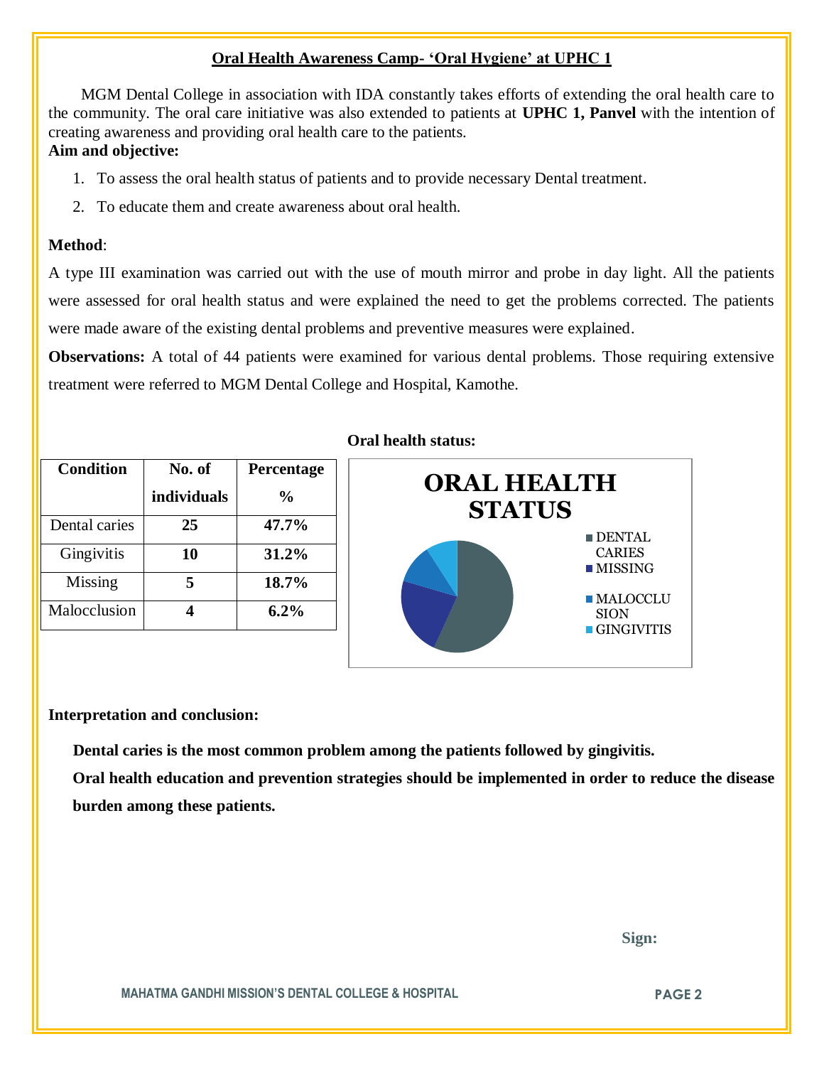## **Oral Health Awareness Camp- 'Oral Hygiene' at UPHC 1**

 MGM Dental College in association with IDA constantly takes efforts of extending the oral health care to the community. The oral care initiative was also extended to patients at **UPHC 1, Panvel** with the intention of creating awareness and providing oral health care to the patients.

## **Aim and objective:**

- 1. To assess the oral health status of patients and to provide necessary Dental treatment.
- 2. To educate them and create awareness about oral health.

## **Method**:

A type III examination was carried out with the use of mouth mirror and probe in day light. All the patients were assessed for oral health status and were explained the need to get the problems corrected. The patients were made aware of the existing dental problems and preventive measures were explained.

**Observations:** A total of 44 patients were examined for various dental problems. Those requiring extensive treatment were referred to MGM Dental College and Hospital, Kamothe.

| <b>Condition</b> | No. of      | Percentage     |
|------------------|-------------|----------------|
|                  | individuals | $\frac{6}{10}$ |
| Dental caries    | 25          | 47.7%          |
| Gingivitis       | 10          | 31.2%          |
| Missing          | 5           | 18.7%          |
| Malocclusion     |             | $6.2\%$        |

## **Oral health status:**



#### **Interpretation and conclusion:**

 **Dental caries is the most common problem among the patients followed by gingivitis.**

**Oral health education and prevention strategies should be implemented in order to reduce the disease burden among these patients.**

 **Sign:**

**MAHATMA GANDHI MISSION'S DENTAL COLLEGE & HOSPITAL PAGE 2**